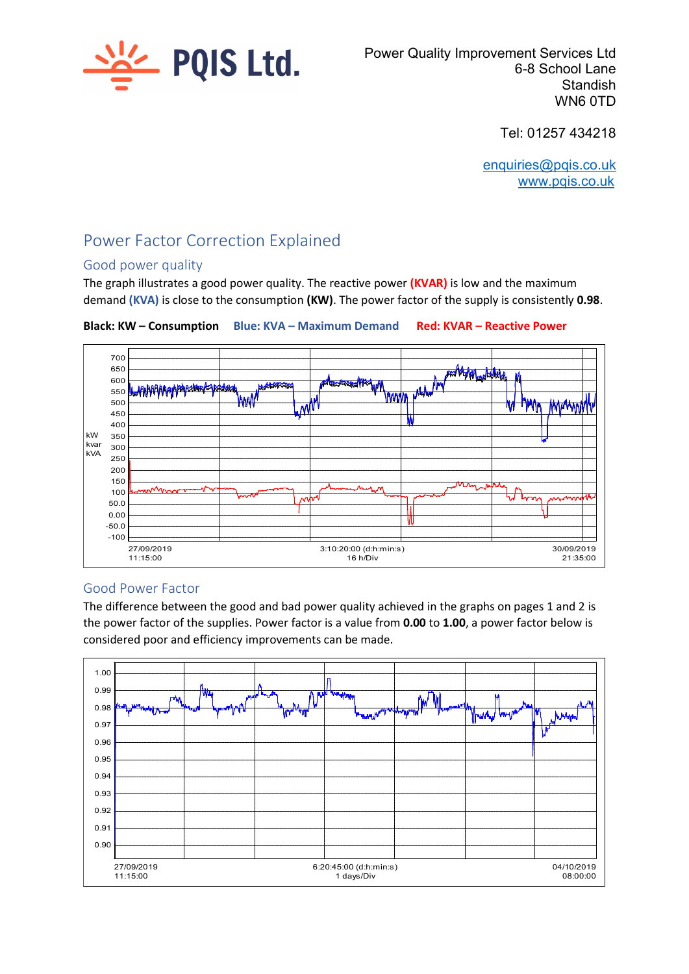

Power Quality Improvement Services Ltd 6-8 School Lane **Standish** WN6 0TD

Tel: 01257 434218

enquiries@pqis.co.uk www.pqis.co.uk

# Power Factor Correction Explained

### Good power quality

The graph illustrates a good power quality. The reactive power (KVAR) is low and the maximum demand (KVA) is close to the consumption (KW). The power factor of the supply is consistently 0.98.



Black: KW – Consumption Blue: KVA – Maximum Demand Red: KVAR – Reactive Power

## Good Power Factor

The difference between the good and bad power quality achieved in the graphs on pages 1 and 2 is the power factor of the supplies. Power factor is a value from 0.00 to 1.00, a power factor below is considered poor and efficiency improvements can be made.